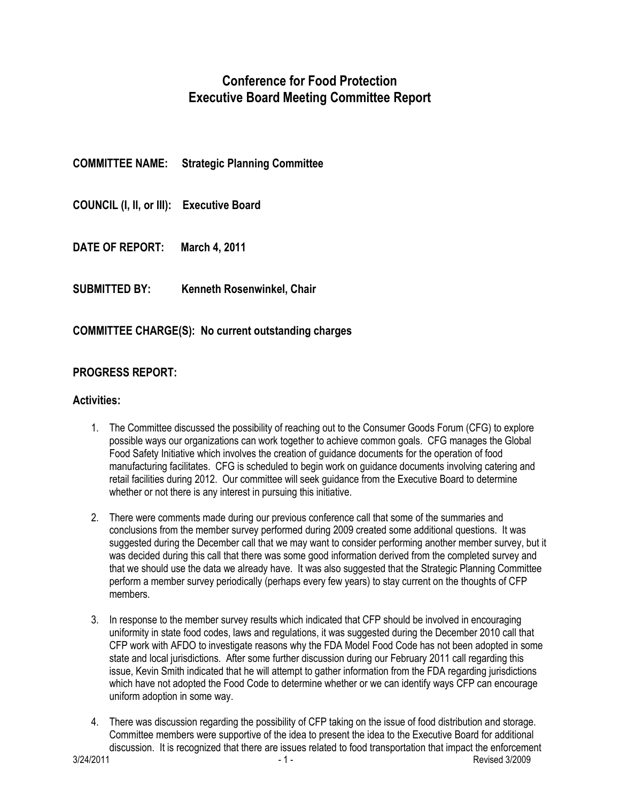# **Conference for Food Protection Executive Board Meeting Committee Report**

| <b>COMMITTEE NAME:</b>                   | <b>Strategic Planning Committee</b> |
|------------------------------------------|-------------------------------------|
| COUNCIL (I, II, or III): Executive Board |                                     |
| DATE OF REPORT:                          | <b>March 4, 2011</b>                |
| <b>SUBMITTED BY:</b>                     | Kenneth Rosenwinkel, Chair          |

## **COMMITTEE CHARGE(S): No current outstanding charges**

#### **PROGRESS REPORT:**

#### **Activities:**

- 1. The Committee discussed the possibility of reaching out to the Consumer Goods Forum (CFG) to explore possible ways our organizations can work together to achieve common goals. CFG manages the Global Food Safety Initiative which involves the creation of guidance documents for the operation of food manufacturing facilitates. CFG is scheduled to begin work on guidance documents involving catering and retail facilities during 2012. Our committee will seek guidance from the Executive Board to determine whether or not there is any interest in pursuing this initiative.
- 2. There were comments made during our previous conference call that some of the summaries and conclusions from the member survey performed during 2009 created some additional questions. It was suggested during the December call that we may want to consider performing another member survey, but it was decided during this call that there was some good information derived from the completed survey and that we should use the data we already have. It was also suggested that the Strategic Planning Committee perform a member survey periodically (perhaps every few years) to stay current on the thoughts of CFP members.
- 3. In response to the member survey results which indicated that CFP should be involved in encouraging uniformity in state food codes, laws and regulations, it was suggested during the December 2010 call that CFP work with AFDO to investigate reasons why the FDA Model Food Code has not been adopted in some state and local jurisdictions. After some further discussion during our February 2011 call regarding this issue, Kevin Smith indicated that he will attempt to gather information from the FDA regarding jurisdictions which have not adopted the Food Code to determine whether or we can identify ways CFP can encourage uniform adoption in some way.
- 4. There was discussion regarding the possibility of CFP taking on the issue of food distribution and storage. Committee members were supportive of the idea to present the idea to the Executive Board for additional discussion. It is recognized that there are issues related to food transportation that impact the enforcement<br>3/24/2011<br>Revised 3/2009